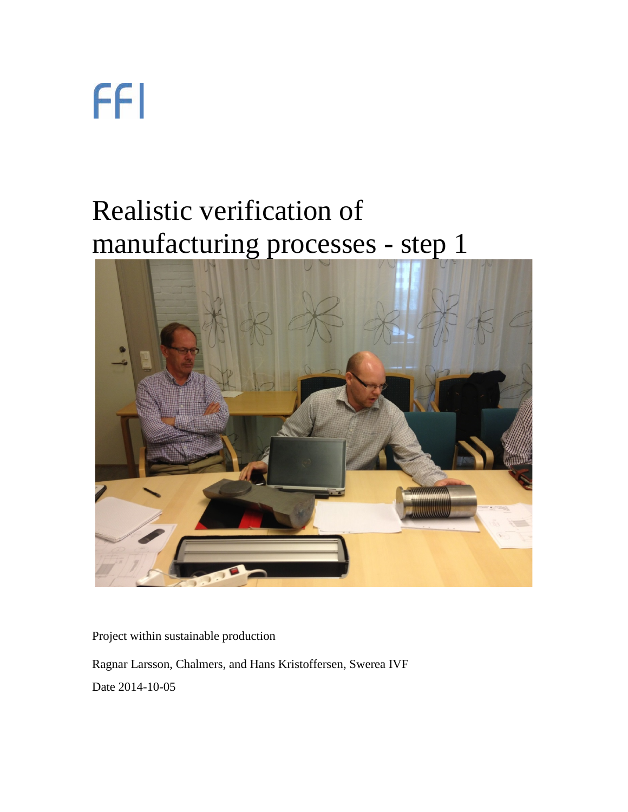## Realistic verification of manufacturing processes - step 1



Project within sustainable production

Ragnar Larsson, Chalmers, and Hans Kristoffersen, Swerea IVF

Date 2014-10-05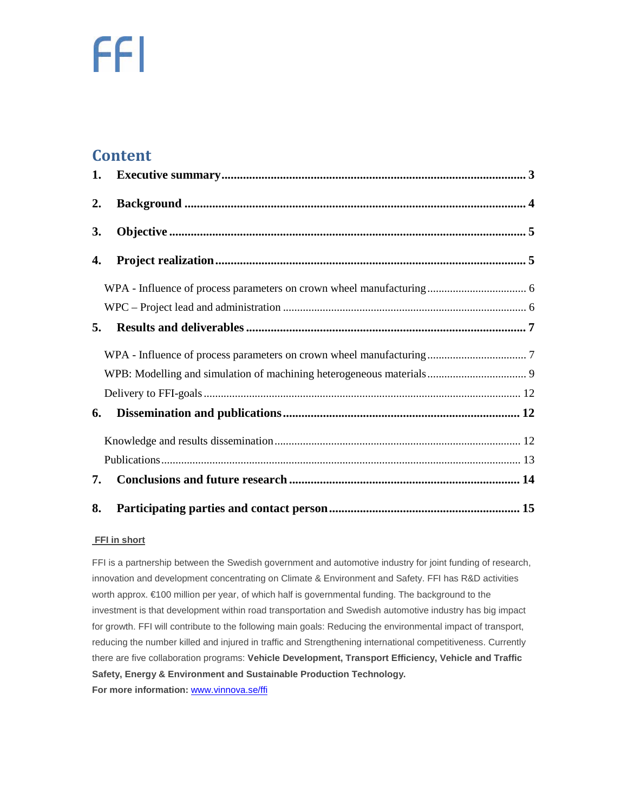#### **Content**

| 2. |  |
|----|--|
| 3. |  |
| 4. |  |
|    |  |
|    |  |
| 5. |  |
|    |  |
|    |  |
|    |  |
| 6. |  |
|    |  |
|    |  |
| 7. |  |
| 8. |  |

#### **FFI in short**

FFI is a partnership between the Swedish government and automotive industry for joint funding of research, innovation and development concentrating on Climate & Environment and Safety. FFI has R&D activities worth approx. €100 million per year, of which half is governmental funding. The background to the investment is that development within road transportation and Swedish automotive industry has big impact for growth. FFI will contribute to the following main goals: Reducing the environmental impact of transport, reducing the number killed and injured in traffic and Strengthening international competitiveness. Currently there are five collaboration programs: **Vehicle Development, Transport Efficiency, Vehicle and Traffic Safety, Energy & Environment and Sustainable Production Technology. For more information:** [www.vinnova.se/ffi](http://www.vinnova.se/ffi)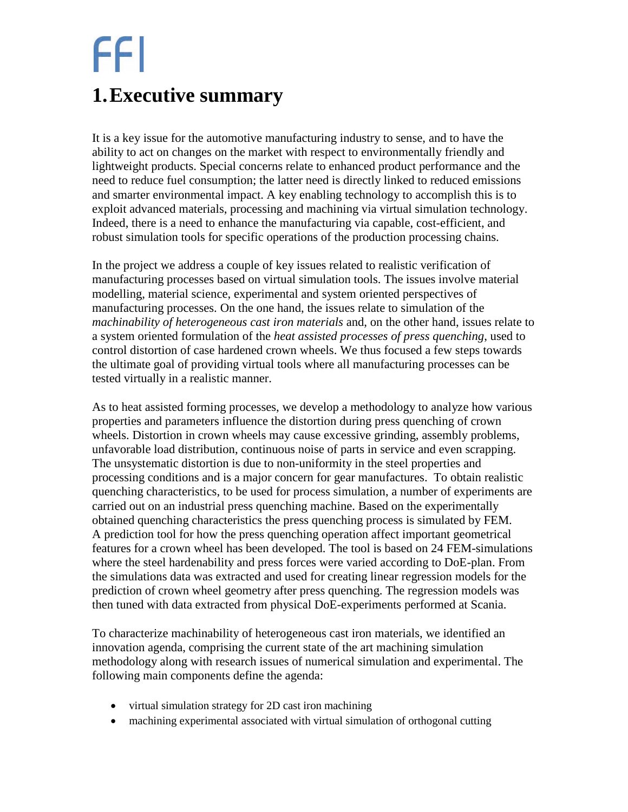## <span id="page-2-0"></span>**1.Executive summary**

It is a key issue for the automotive manufacturing industry to sense, and to have the ability to act on changes on the market with respect to environmentally friendly and lightweight products. Special concerns relate to enhanced product performance and the need to reduce fuel consumption; the latter need is directly linked to reduced emissions and smarter environmental impact. A key enabling technology to accomplish this is to exploit advanced materials, processing and machining via virtual simulation technology. Indeed, there is a need to enhance the manufacturing via capable, cost-efficient, and robust simulation tools for specific operations of the production processing chains.

In the project we address a couple of key issues related to realistic verification of manufacturing processes based on virtual simulation tools. The issues involve material modelling, material science, experimental and system oriented perspectives of manufacturing processes. On the one hand, the issues relate to simulation of the *machinability of heterogeneous cast iron materials* and, on the other hand, issues relate to a system oriented formulation of the *heat assisted processes of press quenching*, used to control distortion of case hardened crown wheels. We thus focused a few steps towards the ultimate goal of providing virtual tools where all manufacturing processes can be tested virtually in a realistic manner.

As to heat assisted forming processes, we develop a methodology to analyze how various properties and parameters influence the distortion during press quenching of crown wheels. Distortion in crown wheels may cause excessive grinding, assembly problems, unfavorable load distribution, continuous noise of parts in service and even scrapping. The unsystematic distortion is due to non-uniformity in the steel properties and processing conditions and is a major concern for gear manufactures. To obtain realistic quenching characteristics, to be used for process simulation, a number of experiments are carried out on an industrial press quenching machine. Based on the experimentally obtained quenching characteristics the press quenching process is simulated by FEM. A prediction tool for how the press quenching operation affect important geometrical features for a crown wheel has been developed. The tool is based on 24 FEM-simulations where the steel hardenability and press forces were varied according to DoE-plan. From the simulations data was extracted and used for creating linear regression models for the prediction of crown wheel geometry after press quenching. The regression models was then tuned with data extracted from physical DoE-experiments performed at Scania.

To characterize machinability of heterogeneous cast iron materials, we identified an innovation agenda, comprising the current state of the art machining simulation methodology along with research issues of numerical simulation and experimental. The following main components define the agenda:

- virtual simulation strategy for 2D cast iron machining
- machining experimental associated with virtual simulation of orthogonal cutting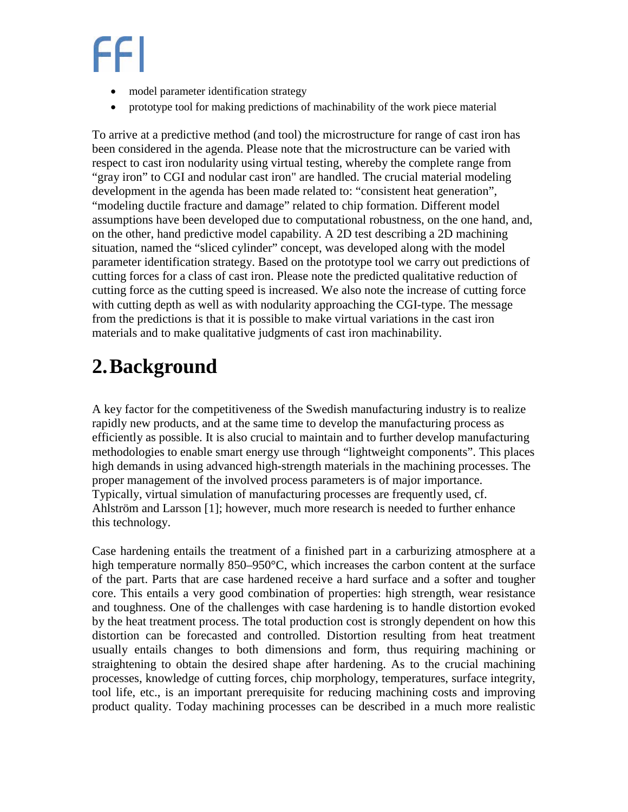- model parameter identification strategy
- prototype tool for making predictions of machinability of the work piece material

To arrive at a predictive method (and tool) the microstructure for range of cast iron has been considered in the agenda. Please note that the microstructure can be varied with respect to cast iron nodularity using virtual testing, whereby the complete range from "gray iron" to CGI and nodular cast iron" are handled. The crucial material modeling development in the agenda has been made related to: "consistent heat generation", "modeling ductile fracture and damage" related to chip formation. Different model assumptions have been developed due to computational robustness, on the one hand, and, on the other, hand predictive model capability. A 2D test describing a 2D machining situation, named the "sliced cylinder" concept, was developed along with the model parameter identification strategy. Based on the prototype tool we carry out predictions of cutting forces for a class of cast iron. Please note the predicted qualitative reduction of cutting force as the cutting speed is increased. We also note the increase of cutting force with cutting depth as well as with nodularity approaching the CGI-type. The message from the predictions is that it is possible to make virtual variations in the cast iron materials and to make qualitative judgments of cast iron machinability.

## <span id="page-3-0"></span>**2.Background**

A key factor for the competitiveness of the Swedish manufacturing industry is to realize rapidly new products, and at the same time to develop the manufacturing process as efficiently as possible. It is also crucial to maintain and to further develop manufacturing methodologies to enable smart energy use through "lightweight components". This places high demands in using advanced high-strength materials in the machining processes. The proper management of the involved process parameters is of major importance. Typically, virtual simulation of manufacturing processes are frequently used, cf. Ahlström and Larsson [\[1\]](#page-12-1); however, much more research is needed to further enhance this technology.

Case hardening entails the treatment of a finished part in a carburizing atmosphere at a high temperature normally 850–950°C, which increases the carbon content at the surface of the part. Parts that are case hardened receive a hard surface and a softer and tougher core. This entails a very good combination of properties: high strength, wear resistance and toughness. One of the challenges with case hardening is to handle distortion evoked by the heat treatment process. The total production cost is strongly dependent on how this distortion can be forecasted and controlled. Distortion resulting from heat treatment usually entails changes to both dimensions and form, thus requiring machining or straightening to obtain the desired shape after hardening. As to the crucial machining processes, knowledge of cutting forces, chip morphology, temperatures, surface integrity, tool life, etc., is an important prerequisite for reducing machining costs and improving product quality. Today machining processes can be described in a much more realistic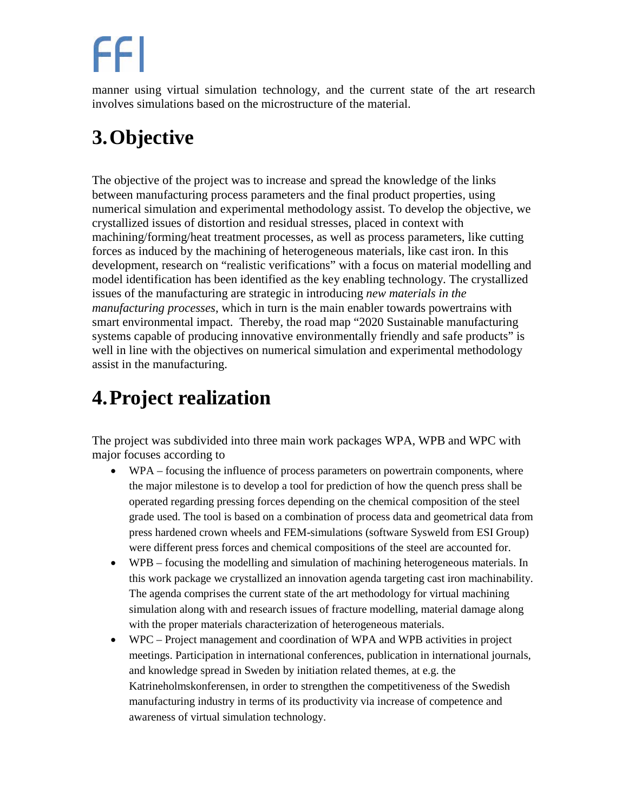manner using virtual simulation technology, and the current state of the art research involves simulations based on the microstructure of the material.

## <span id="page-4-0"></span>**3.Objective**

The objective of the project was to increase and spread the knowledge of the links between manufacturing process parameters and the final product properties, using numerical simulation and experimental methodology assist. To develop the objective, we crystallized issues of distortion and residual stresses, placed in context with machining/forming/heat treatment processes, as well as process parameters, like cutting forces as induced by the machining of heterogeneous materials, like cast iron. In this development, research on "realistic verifications" with a focus on material modelling and model identification has been identified as the key enabling technology. The crystallized issues of the manufacturing are strategic in introducing *new materials in the manufacturing processes*, which in turn is the main enabler towards powertrains with smart environmental impact. Thereby, the road map "2020 Sustainable manufacturing systems capable of producing innovative environmentally friendly and safe products" is well in line with the objectives on numerical simulation and experimental methodology assist in the manufacturing.

## <span id="page-4-1"></span>**4.Project realization**

The project was subdivided into three main work packages WPA, WPB and WPC with major focuses according to

- WPA focusing the influence of process parameters on powertrain components, where the major milestone is to develop a tool for prediction of how the quench press shall be operated regarding pressing forces depending on the chemical composition of the steel grade used. The tool is based on a combination of process data and geometrical data from press hardened crown wheels and FEM-simulations (software Sysweld from ESI Group) were different press forces and chemical compositions of the steel are accounted for.
- WPB focusing the modelling and simulation of machining heterogeneous materials. In this work package we crystallized an innovation agenda targeting cast iron machinability. The agenda comprises the current state of the art methodology for virtual machining simulation along with and research issues of fracture modelling, material damage along with the proper materials characterization of heterogeneous materials.
- WPC Project management and coordination of WPA and WPB activities in project meetings. Participation in international conferences, publication in international journals, and knowledge spread in Sweden by initiation related themes, at e.g. the Katrineholmskonferensen, in order to strengthen the competitiveness of the Swedish manufacturing industry in terms of its productivity via increase of competence and awareness of virtual simulation technology.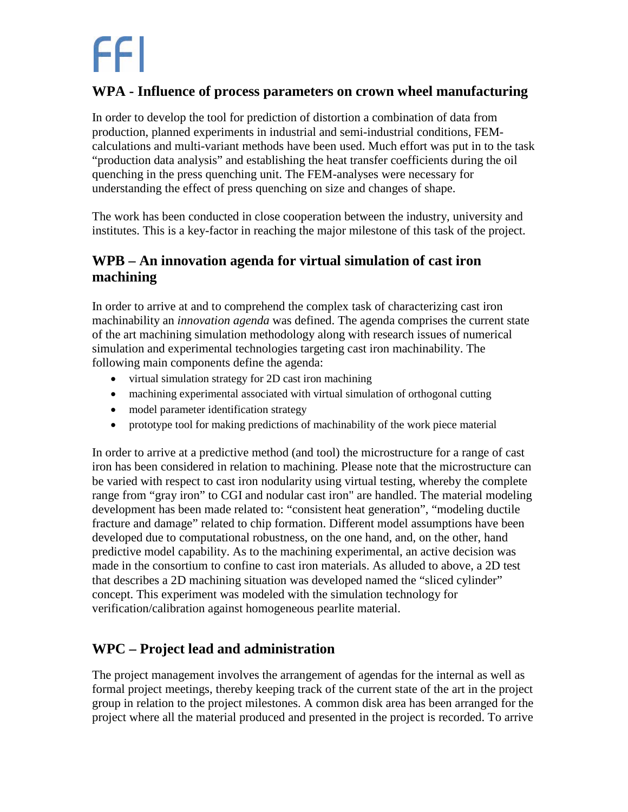#### <span id="page-5-0"></span>**WPA - Influence of process parameters on crown wheel manufacturing**

In order to develop the tool for prediction of distortion a combination of data from production, planned experiments in industrial and semi-industrial conditions, FEMcalculations and multi-variant methods have been used. Much effort was put in to the task "production data analysis" and establishing the heat transfer coefficients during the oil quenching in the press quenching unit. The FEM-analyses were necessary for understanding the effect of press quenching on size and changes of shape.

The work has been conducted in close cooperation between the industry, university and institutes. This is a key-factor in reaching the major milestone of this task of the project.

#### **WPB – An innovation agenda for virtual simulation of cast iron machining**

In order to arrive at and to comprehend the complex task of characterizing cast iron machinability an *innovation agenda* was defined. The agenda comprises the current state of the art machining simulation methodology along with research issues of numerical simulation and experimental technologies targeting cast iron machinability. The following main components define the agenda:

- virtual simulation strategy for 2D cast iron machining
- machining experimental associated with virtual simulation of orthogonal cutting
- model parameter identification strategy
- prototype tool for making predictions of machinability of the work piece material

In order to arrive at a predictive method (and tool) the microstructure for a range of cast iron has been considered in relation to machining. Please note that the microstructure can be varied with respect to cast iron nodularity using virtual testing, whereby the complete range from "gray iron" to CGI and nodular cast iron" are handled. The material modeling development has been made related to: "consistent heat generation", "modeling ductile fracture and damage" related to chip formation. Different model assumptions have been developed due to computational robustness, on the one hand, and, on the other, hand predictive model capability. As to the machining experimental, an active decision was made in the consortium to confine to cast iron materials. As alluded to above, a 2D test that describes a 2D machining situation was developed named the "sliced cylinder" concept. This experiment was modeled with the simulation technology for verification/calibration against homogeneous pearlite material.

#### <span id="page-5-1"></span>**WPC – Project lead and administration**

The project management involves the arrangement of agendas for the internal as well as formal project meetings, thereby keeping track of the current state of the art in the project group in relation to the project milestones. A common disk area has been arranged for the project where all the material produced and presented in the project is recorded. To arrive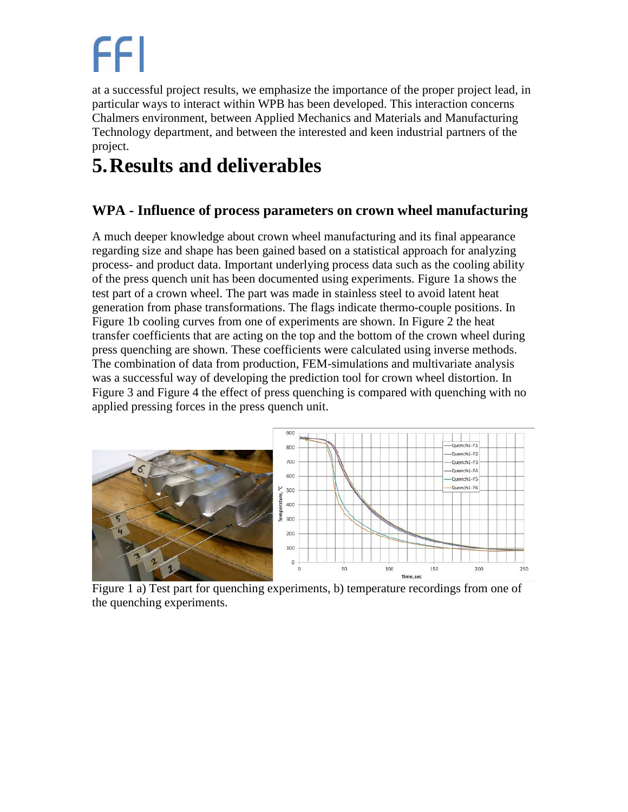at a successful project results, we emphasize the importance of the proper project lead, in particular ways to interact within WPB has been developed. This interaction concerns Chalmers environment, between Applied Mechanics and Materials and Manufacturing Technology department, and between the interested and keen industrial partners of the project.

## <span id="page-6-0"></span>**5.Results and deliverables**

#### <span id="page-6-1"></span>**WPA - Influence of process parameters on crown wheel manufacturing**

A much deeper knowledge about crown wheel manufacturing and its final appearance regarding size and shape has been gained based on a statistical approach for analyzing process- and product data. Important underlying process data such as the cooling ability of the press quench unit has been documented using experiments. [Figure 1a](#page-6-2) shows the test part of a crown wheel. The part was made in stainless steel to avoid latent heat generation from phase transformations. The flags indicate thermo-couple positions. In [Figure 1b](#page-6-2) cooling curves from one of experiments are shown. In [Figure 2](#page-7-0) the heat transfer coefficients that are acting on the top and the bottom of the crown wheel during press quenching are shown. These coefficients were calculated using inverse methods. The combination of data from production, FEM-simulations and multivariate analysis was a successful way of developing the prediction tool for crown wheel distortion. In [Figure 3](#page-7-1) and [Figure 4](#page-7-2) the effect of press quenching is compared with quenching with no applied pressing forces in the press quench unit.



<span id="page-6-2"></span>Figure 1 a) Test part for quenching experiments, b) temperature recordings from one of the quenching experiments.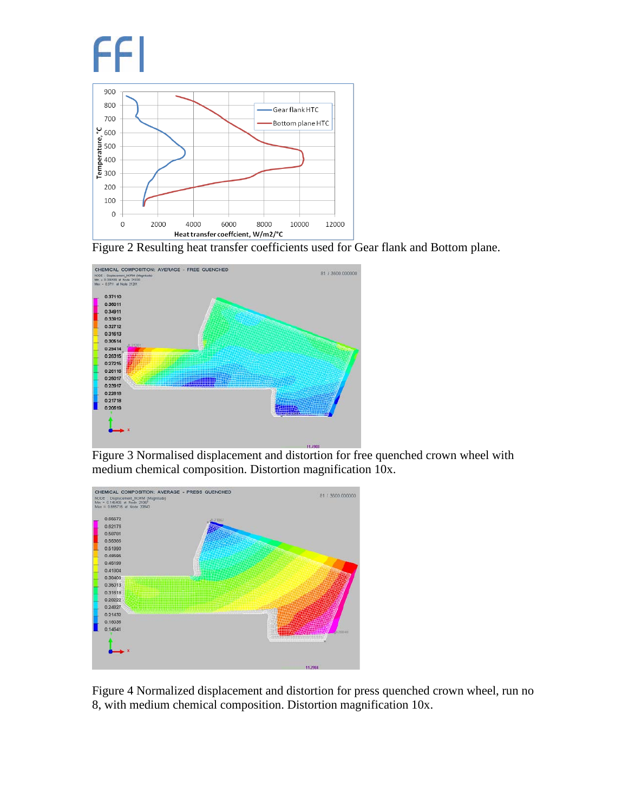

<span id="page-7-0"></span>



<span id="page-7-1"></span>Figure 3 Normalised displacement and distortion for free quenched crown wheel with medium chemical composition. Distortion magnification 10x.



<span id="page-7-2"></span>Figure 4 Normalized displacement and distortion for press quenched crown wheel, run no 8, with medium chemical composition. Distortion magnification 10x.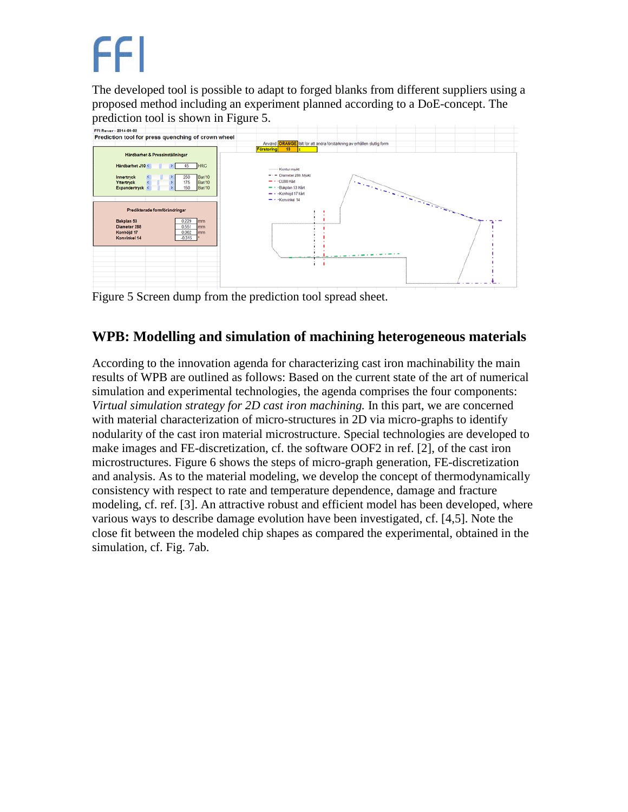The developed tool is possible to adapt to forged blanks from different suppliers using a proposed method including an experiment planned according to a DoE-concept. The



<span id="page-8-1"></span>Figure 5 Screen dump from the prediction tool spread sheet.

#### <span id="page-8-0"></span>**WPB: Modelling and simulation of machining heterogeneous materials**

According to the innovation agenda for characterizing cast iron machinability the main results of WPB are outlined as follows: Based on the current state of the art of numerical simulation and experimental technologies, the agenda comprises the four components: *Virtual simulation strategy for 2D cast iron machining.* In this part, we are concerned with material characterization of micro-structures in 2D via micro-graphs to identify nodularity of the cast iron material microstructure. Special technologies are developed to make images and FE-discretization, cf. the software OOF2 in ref. [\[2\]](#page-12-2), of the cast iron microstructures. [Figure 6](#page-9-0) shows the steps of micro-graph generation, FE-discretization and analysis. As to the material modeling, we develop the concept of thermodynamically consistency with respect to rate and temperature dependence, damage and fracture modeling, cf. ref. [\[3\]](#page-12-3). An attractive robust and efficient model has been developed, where various ways to describe damage evolution have been investigated, cf. [\[4](#page-12-4)[,5\]](#page-12-5). Note the close fit between the modeled chip shapes as compared the experimental, obtained in the simulation, cf. Fig. 7ab.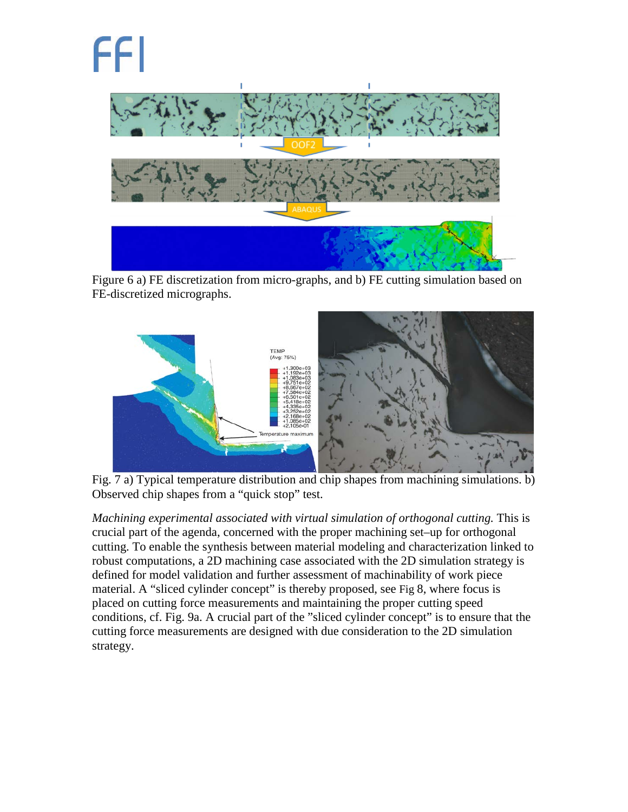<span id="page-9-0"></span>Figure 6 a) FE discretization from micro-graphs, and b) FE cutting simulation based on FE-discretized micrographs.



Fig. 7 a) Typical temperature distribution and chip shapes from machining simulations. b) Observed chip shapes from a "quick stop" test.

*Machining experimental associated with virtual simulation of orthogonal cutting.* This is crucial part of the agenda, concerned with the proper machining set–up for orthogonal cutting. To enable the synthesis between material modeling and characterization linked to robust computations, a 2D machining case associated with the 2D simulation strategy is defined for model validation and further assessment of machinability of work piece material. A "sliced cylinder concept" is thereby proposed, see Fig 8, where focus is placed on cutting force measurements and maintaining the proper cutting speed conditions, cf. Fig. 9a. A crucial part of the "sliced cylinder concept" is to ensure that the cutting force measurements are designed with due consideration to the 2D simulation strategy.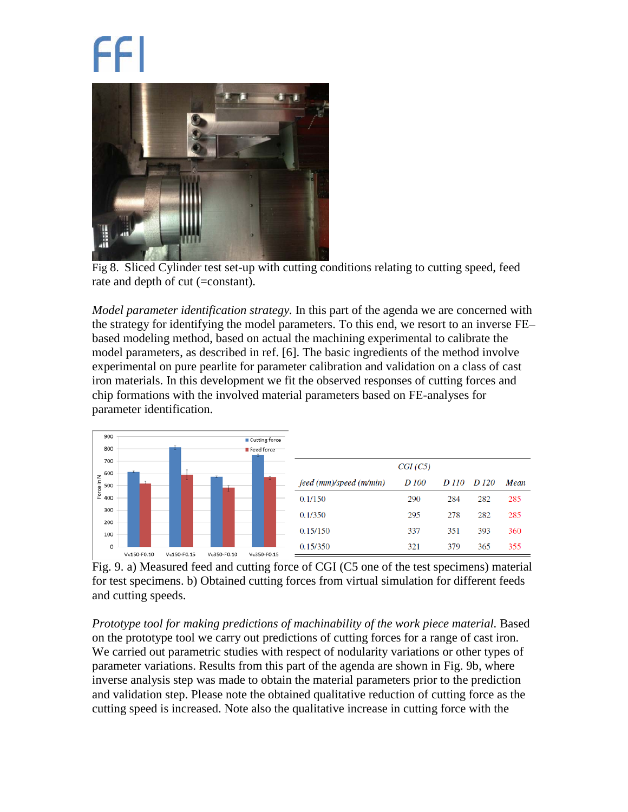

Fig 8. Sliced Cylinder test set-up with cutting conditions relating to cutting speed, feed rate and depth of cut (=constant).

*Model parameter identification strategy.* In this part of the agenda we are concerned with the strategy for identifying the model parameters. To this end, we resort to an inverse FE– based modeling method, based on actual the machining experimental to calibrate the model parameters, as described in ref. [6]. The basic ingredients of the method involve experimental on pure pearlite for parameter calibration and validation on a class of cast iron materials. In this development we fit the observed responses of cutting forces and chip formations with the involved material parameters based on FE-analyses for parameter identification.



<span id="page-10-0"></span>Fig. 9. a) Measured feed and cutting force of CGI (C5 one of the test specimens) material for test specimens. b) Obtained cutting forces from virtual simulation for different feeds and cutting speeds.

*Prototype tool for making predictions of machinability of the work piece material.* Based on the prototype tool we carry out predictions of cutting forces for a range of cast iron. We carried out parametric studies with respect of nodularity variations or other types of parameter variations. Results from this part of the agenda are shown in [Fig. 9b](#page-10-0), where inverse analysis step was made to obtain the material parameters prior to the prediction and validation step. Please note the obtained qualitative reduction of cutting force as the cutting speed is increased. Note also the qualitative increase in cutting force with the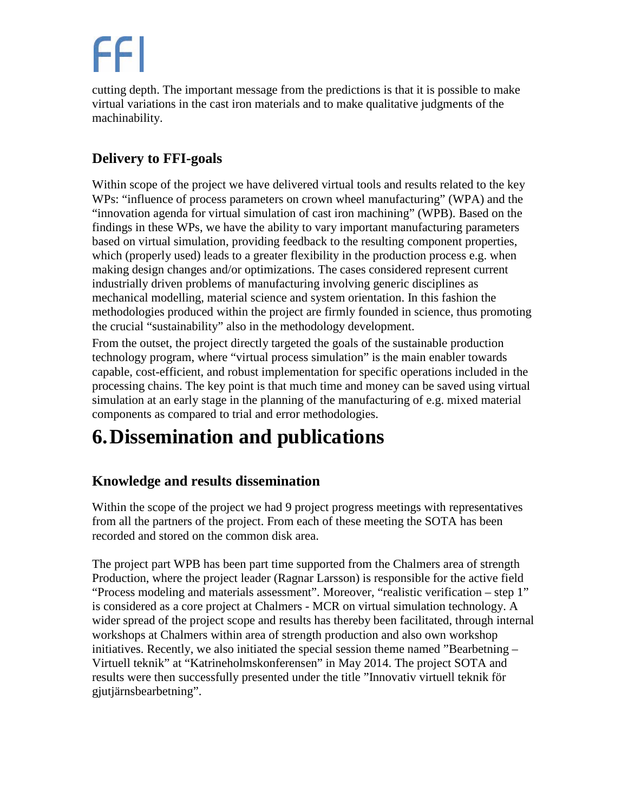cutting depth. The important message from the predictions is that it is possible to make virtual variations in the cast iron materials and to make qualitative judgments of the machinability.

#### <span id="page-11-0"></span>**Delivery to FFI-goals**

Within scope of the project we have delivered virtual tools and results related to the key WPs: "influence of process parameters on crown wheel manufacturing" (WPA) and the "innovation agenda for virtual simulation of cast iron machining" (WPB). Based on the findings in these WPs, we have the ability to vary important manufacturing parameters based on virtual simulation, providing feedback to the resulting component properties, which (properly used) leads to a greater flexibility in the production process e.g. when making design changes and/or optimizations. The cases considered represent current industrially driven problems of manufacturing involving generic disciplines as mechanical modelling, material science and system orientation. In this fashion the methodologies produced within the project are firmly founded in science, thus promoting the crucial "sustainability" also in the methodology development.

From the outset, the project directly targeted the goals of the sustainable production technology program, where "virtual process simulation" is the main enabler towards capable, cost-efficient, and robust implementation for specific operations included in the processing chains. The key point is that much time and money can be saved using virtual simulation at an early stage in the planning of the manufacturing of e.g. mixed material components as compared to trial and error methodologies.

## <span id="page-11-1"></span>**6.Dissemination and publications**

#### <span id="page-11-2"></span>**Knowledge and results dissemination**

Within the scope of the project we had 9 project progress meetings with representatives from all the partners of the project. From each of these meeting the SOTA has been recorded and stored on the common disk area.

The project part WPB has been part time supported from the Chalmers area of strength Production, where the project leader (Ragnar Larsson) is responsible for the active field "Process modeling and materials assessment". Moreover, "realistic verification – step 1" is considered as a core project at Chalmers - MCR on virtual simulation technology. A wider spread of the project scope and results has thereby been facilitated, through internal workshops at Chalmers within area of strength production and also own workshop initiatives. Recently, we also initiated the special session theme named "Bearbetning – Virtuell teknik" at "Katrineholmskonferensen" in May 2014. The project SOTA and results were then successfully presented under the title "Innovativ virtuell teknik för gjutjärnsbearbetning".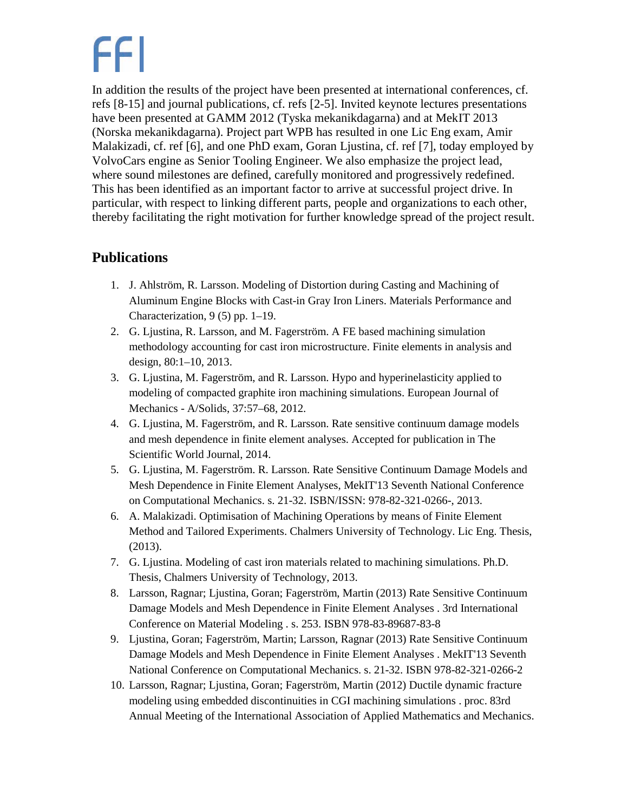In addition the results of the project have been presented at international conferences, cf. refs [\[8-](#page-12-6)[15\]](#page-13-1) and journal publications, cf. refs [\[2](#page-12-2)[-5\]](#page-12-5). Invited keynote lectures presentations have been presented at GAMM 2012 (Tyska mekanikdagarna) and at MekIT 2013 (Norska mekanikdagarna). Project part WPB has resulted in one Lic Eng exam, Amir Malakizadi, cf. ref [\[6\]](#page-12-7), and one PhD exam, Goran Ljustina, cf. ref [\[7\]](#page-12-8), today employed by VolvoCars engine as Senior Tooling Engineer. We also emphasize the project lead, where sound milestones are defined, carefully monitored and progressively redefined. This has been identified as an important factor to arrive at successful project drive. In particular, with respect to linking different parts, people and organizations to each other, thereby facilitating the right motivation for further knowledge spread of the project result.

#### <span id="page-12-0"></span>**Publications**

- <span id="page-12-1"></span>1. J. Ahlström, R. Larsson. Modeling of Distortion during Casting and Machining of Aluminum Engine Blocks with Cast-in Gray Iron Liners. Materials Performance and Characterization, 9 (5) pp. 1–19.
- <span id="page-12-2"></span>2. G. Ljustina, R. Larsson, and M. Fagerström. A FE based machining simulation methodology accounting for cast iron microstructure. Finite elements in analysis and design, 80:1–10, 2013.
- <span id="page-12-3"></span>3. G. Ljustina, M. Fagerström, and R. Larsson. Hypo and hyperinelasticity applied to modeling of compacted graphite iron machining simulations. European Journal of Mechanics - A/Solids, 37:57–68, 2012.
- <span id="page-12-4"></span>4. G. Ljustina, M. Fagerström, and R. Larsson. Rate sensitive continuum damage models and mesh dependence in finite element analyses. Accepted for publication in The Scientific World Journal, 2014.
- <span id="page-12-5"></span>5. G. Ljustina, M. Fagerström. R. Larsson. Rate Sensitive Continuum Damage Models and Mesh Dependence in Finite Element Analyses, MekIT'13 Seventh National Conference on Computational Mechanics. s. 21-32. ISBN/ISSN: 978-82-321-0266-, 2013.
- <span id="page-12-7"></span>6. A. Malakizadi. Optimisation of Machining Operations by means of Finite Element Method and Tailored Experiments. Chalmers University of Technology. Lic Eng. Thesis, (2013).
- <span id="page-12-8"></span>7. G. Ljustina. Modeling of cast iron materials related to machining simulations. Ph.D. Thesis, Chalmers University of Technology, 2013.
- <span id="page-12-6"></span>8. Larsson, Ragnar; Ljustina, Goran; Fagerström, Martin (2013) Rate Sensitive Continuum Damage Models and Mesh Dependence in Finite Element Analyses . 3rd International Conference on Material Modeling . s. 253. ISBN 978-83-89687-83-8
- 9. Ljustina, Goran; Fagerström, Martin; Larsson, Ragnar (2013) Rate Sensitive Continuum Damage Models and Mesh Dependence in Finite Element Analyses . MekIT'13 Seventh National Conference on Computational Mechanics. s. 21-32. ISBN 978-82-321-0266-2
- 10. Larsson, Ragnar; Ljustina, Goran; Fagerström, Martin (2012) Ductile dynamic fracture modeling using embedded discontinuities in CGI machining simulations . proc. 83rd Annual Meeting of the International Association of Applied Mathematics and Mechanics.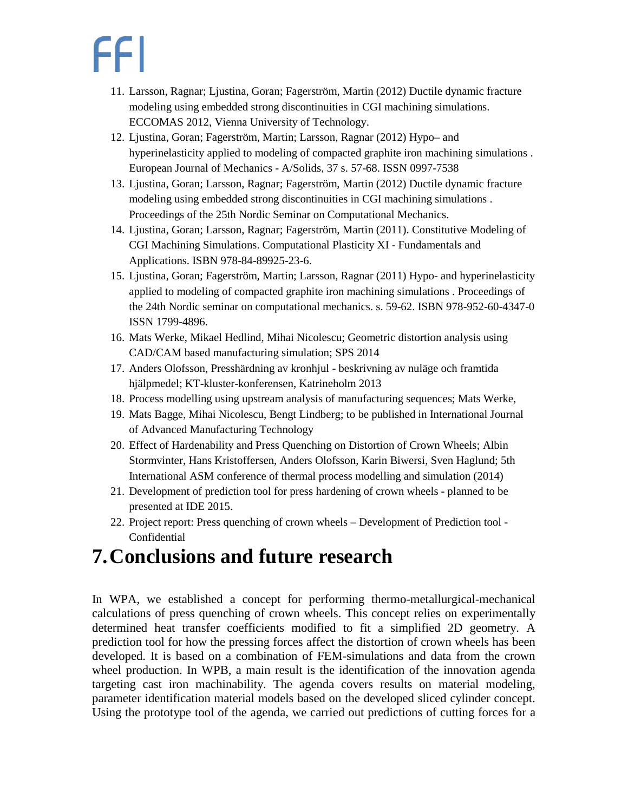- 11. Larsson, Ragnar; Ljustina, Goran; Fagerström, Martin (2012) Ductile dynamic fracture modeling using embedded strong discontinuities in CGI machining simulations. ECCOMAS 2012, Vienna University of Technology.
- 12. Ljustina, Goran; Fagerström, Martin; Larsson, Ragnar (2012) Hypo– and hyperinelasticity applied to modeling of compacted graphite iron machining simulations . European Journal of Mechanics - A/Solids, 37 s. 57-68. ISSN 0997-7538
- 13. Ljustina, Goran; Larsson, Ragnar; Fagerström, Martin (2012) Ductile dynamic fracture modeling using embedded strong discontinuities in CGI machining simulations . Proceedings of the 25th Nordic Seminar on Computational Mechanics.
- 14. Ljustina, Goran; Larsson, Ragnar; Fagerström, Martin (2011). Constitutive Modeling of CGI Machining Simulations. Computational Plasticity XI - Fundamentals and Applications. ISBN 978-84-89925-23-6.
- <span id="page-13-1"></span>15. Ljustina, Goran; Fagerström, Martin; Larsson, Ragnar (2011) Hypo- and hyperinelasticity applied to modeling of compacted graphite iron machining simulations . Proceedings of the 24th Nordic seminar on computational mechanics. s. 59-62. ISBN 978-952-60-4347-0 ISSN 1799-4896.
- 16. Mats Werke, Mikael Hedlind, Mihai Nicolescu; Geometric distortion analysis using CAD/CAM based manufacturing simulation; SPS 2014
- 17. Anders Olofsson, Presshärdning av kronhjul beskrivning av nuläge och framtida hjälpmedel; KT-kluster-konferensen, Katrineholm 2013
- 18. Process modelling using upstream analysis of manufacturing sequences; Mats Werke,
- 19. Mats Bagge, Mihai Nicolescu, Bengt Lindberg; to be published in International Journal of Advanced Manufacturing Technology
- 20. Effect of Hardenability and Press Quenching on Distortion of Crown Wheels; Albin Stormvinter, Hans Kristoffersen, Anders Olofsson, Karin Biwersi, Sven Haglund; 5th International ASM conference of thermal process modelling and simulation (2014)
- 21. Development of prediction tool for press hardening of crown wheels planned to be presented at IDE 2015.
- 22. Project report: Press quenching of crown wheels Development of Prediction tool Confidential

### <span id="page-13-0"></span>**7.Conclusions and future research**

In WPA, we established a concept for performing thermo-metallurgical-mechanical calculations of press quenching of crown wheels. This concept relies on experimentally determined heat transfer coefficients modified to fit a simplified 2D geometry. A prediction tool for how the pressing forces affect the distortion of crown wheels has been developed. It is based on a combination of FEM-simulations and data from the crown wheel production. In WPB, a main result is the identification of the innovation agenda targeting cast iron machinability. The agenda covers results on material modeling, parameter identification material models based on the developed sliced cylinder concept. Using the prototype tool of the agenda, we carried out predictions of cutting forces for a